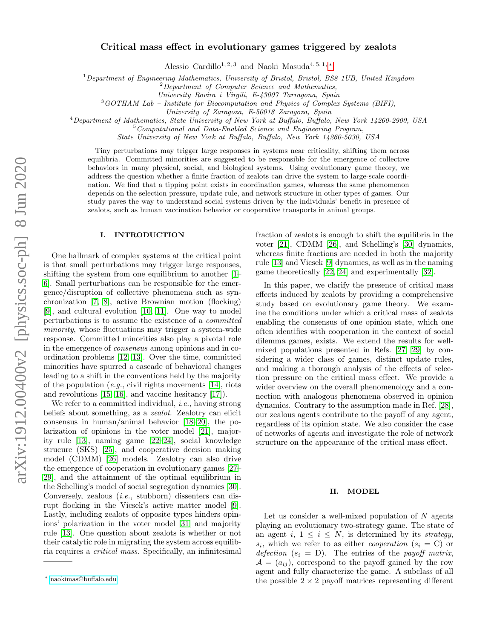# Critical mass effect in evolutionary games triggered by zealots

Alessio Cardillo<sup>1, 2, 3</sup> and Naoki Masuda<sup>4, 5, 1,  $*$ </sup>

 $1$ Department of Engineering Mathematics, University of Bristol, Bristol, BS8 1UB, United Kingdom

 $2$ Department of Computer Science and Mathematics,

University Rovira i Virgili, E-43007 Tarragona, Spain

<sup>3</sup>GOTHAM Lab – Institute for Biocomputation and Physics of Complex Systems (BIFI),

University of Zaragoza, E-50018 Zaragoza, Spain

<sup>4</sup>Department of Mathematics, State University of New York at Buffalo, Buffalo, New York 14260-2900, USA

 $5$ Computational and Data-Enabled Science and Engineering Program,

State University of New York at Buffalo, Buffalo, New York 14260-5030, USA

Tiny perturbations may trigger large responses in systems near criticality, shifting them across equilibria. Committed minorities are suggested to be responsible for the emergence of collective behaviors in many physical, social, and biological systems. Using evolutionary game theory, we address the question whether a finite fraction of zealots can drive the system to large-scale coordination. We find that a tipping point exists in coordination games, whereas the same phenomenon depends on the selection pressure, update rule, and network structure in other types of games. Our study paves the way to understand social systems driven by the individuals' benefit in presence of zealots, such as human vaccination behavior or cooperative transports in animal groups.

# I. INTRODUCTION

One hallmark of complex systems at the critical point is that small perturbations may trigger large responses, shifting the system from one equilibrium to another [\[1–](#page-13-0) [6\]](#page-13-1). Small perturbations can be responsible for the emergence/disruption of collective phenomena such as synchronization [\[7,](#page-13-2) [8\]](#page-13-3), active Brownian motion (flocking) [\[9\]](#page-13-4), and cultural evolution [\[10,](#page-13-5) [11\]](#page-13-6). One way to model perturbations is to assume the existence of a committed minority, whose fluctuations may trigger a system-wide response. Committed minorities also play a pivotal role in the emergence of consensus among opinions and in coordination problems [\[12,](#page-13-7) [13\]](#page-13-8). Over the time, committed minorities have spurred a cascade of behavioral changes leading to a shift in the conventions held by the majority of the population  $(e.g.,$  civil rights movements [\[14\]](#page-13-9), riots and revolutions [\[15,](#page-13-10) [16\]](#page-13-11), and vaccine hesitancy [\[17\]](#page-13-12)).

We refer to a committed individual, *i.e.*, having strong beliefs about something, as a *zealot*. Zealotry can elicit consensus in human/animal behavior [\[18–](#page-13-13)[20\]](#page-13-14), the polarization of opinions in the voter model [\[21\]](#page-13-15), majority rule [\[13\]](#page-13-8), naming game [\[22](#page-13-16)[–24\]](#page-13-17), social knowledge strucure (SKS) [\[25\]](#page-13-18), and cooperative decision making model (CDMM) [\[26\]](#page-13-19) models. Zealotry can also drive the emergence of cooperation in evolutionary games [\[27–](#page-13-20) [29\]](#page-13-21), and the attainment of the optimal equilibrium in the Schelling's model of social segregation dynamics [\[30\]](#page-13-22). Conversely, zealous (i.e., stubborn) dissenters can disrupt flocking in the Vicsek's active matter model [\[9\]](#page-13-4). Lastly, including zealots of opposite types hinders opinions' polarization in the voter model [\[31\]](#page-13-23) and majority rule [\[13\]](#page-13-8). One question about zealots is whether or not their catalytic role in migrating the system across equilibria requires a critical mass. Specifically, an infinitesimal

fraction of zealots is enough to shift the equilibria in the voter [\[21\]](#page-13-15), CDMM [\[26\]](#page-13-19), and Schelling's [\[30\]](#page-13-22) dynamics, whereas finite fractions are needed in both the majority rule [\[13\]](#page-13-8) and Vicsek [\[9\]](#page-13-4) dynamics, as well as in the naming game theoretically [\[22,](#page-13-16) [24\]](#page-13-17) and experimentally [\[32\]](#page-13-24).

In this paper, we clarify the presence of critical mass effects induced by zealots by providing a comprehensive study based on evolutionary game theory. We examine the conditions under which a critical mass of zealots enabling the consensus of one opinion state, which one often identifies with cooperation in the context of social dilemma games, exists. We extend the results for wellmixed populations presented in Refs. [\[27,](#page-13-20) [29\]](#page-13-21) by considering a wider class of games, distinct update rules, and making a thorough analysis of the effects of selection pressure on the critical mass effect. We provide a wider overview on the overall phenomenology and a connection with analogous phenomena observed in opinion dynamics. Contrary to the assumption made in Ref. [\[28\]](#page-13-25), our zealous agents contribute to the payoff of any agent, regardless of its opinion state. We also consider the case of networks of agents and investigate the role of network structure on the appearance of the critical mass effect.

#### II. MODEL

Let us consider a well-mixed population of  $N$  agents playing an evolutionary two-strategy game. The state of an agent i,  $1 \leq i \leq N$ , is determined by its *strategy*,  $s_i$ , which we refer to as either *cooperation*  $(s_i = C)$  or defection  $(s_i = D)$ . The entries of the payoff matrix,  $A = (a_{ij})$ , correspond to the payoff gained by the row agent and fully characterize the game. A subclass of all the possible  $2 \times 2$  payoff matrices representing different

<span id="page-0-0"></span><sup>∗</sup> [naokimas@buffalo.edu](mailto:naokimas@buffalo.edu)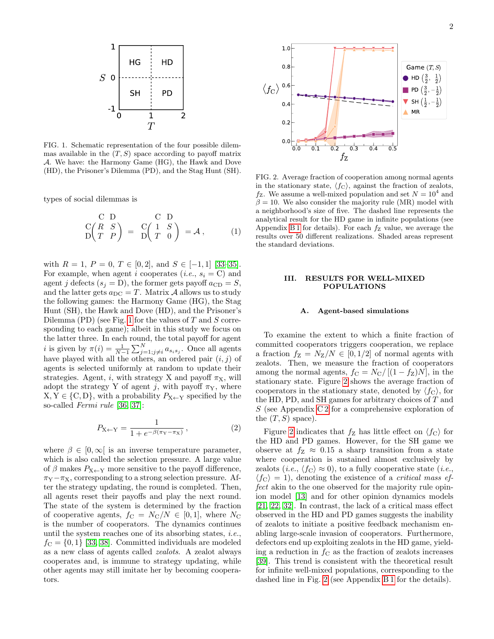

<span id="page-1-0"></span>FIG. 1. Schematic representation of the four possible dilemmas available in the  $(T, S)$  space according to payoff matrix A. We have: the Harmony Game (HG), the Hawk and Dove (HD), the Prisoner's Dilemma (PD), and the Stag Hunt (SH).

types of social dilemmas is

<span id="page-1-3"></span>
$$
\begin{array}{c}\nC \ D \\
C(R \ S) \\
D(T \ P)\n\end{array} =\n\begin{array}{c}\nC \ D \\
C(1 \ S \\
D(T \ 0)\n\end{array} = \mathcal{A},\n\tag{1}
$$

with  $R = 1, P = 0, T \in [0, 2]$ , and  $S \in [-1, 1]$  [\[33–](#page-13-26)[35\]](#page-13-27). For example, when agent i cooperates  $(i.e., s_i = C)$  and agent j defects  $(s_j = D)$ , the former gets payoff  $a_{CD} = S$ , and the latter gets  $a_{\text{DC}} = T$ . Matrix A allows us to study the following games: the Harmony Game (HG), the Stag Hunt (SH), the Hawk and Dove (HD), and the Prisoner's Dilemma (PD) (see Fig. [1](#page-1-0) for the values of  $T$  and  $S$  corresponding to each game); albeit in this study we focus on the latter three. In each round, the total payoff for agent *i* is given by  $\pi(i) = \frac{1}{N-1} \sum_{j=1; j \neq i}^{N} a_{s_i s_j}$ . Once all agents have played with all the others, an ordered pair  $(i, j)$  of agents is selected uniformly at random to update their strategies. Agent, i, with strategy X and payoff  $\pi_X$ , will adopt the strategy Y of agent j, with payoff  $\pi_Y$ , where  $X, Y \in \{C, D\}$ , with a probability  $P_{X \leftarrow Y}$  specified by the so-called Fermi rule [\[36,](#page-13-28) [37\]](#page-13-29):

<span id="page-1-2"></span>
$$
P_{X \leftarrow Y} = \frac{1}{1 + e^{-\beta(\pi_Y - \pi_X)}},
$$
 (2)

where  $\beta \in [0,\infty]$  is an inverse temperature parameter, which is also called the selection pressure. A large value of  $\beta$  makes  $P_{X \leftarrow Y}$  more sensitive to the payoff difference,  $\pi_Y - \pi_X$ , corresponding to a strong selection pressure. After the strategy updating, the round is completed. Then, all agents reset their payoffs and play the next round. The state of the system is determined by the fraction of cooperative agents,  $f_C = N_C/N \in [0,1]$ , where  $N_C$ is the number of cooperators. The dynamics continues until the system reaches one of its absorbing states, i.e.,  $f_{\rm C} = \{0, 1\}$  [\[33,](#page-13-26) [38\]](#page-13-30). Committed individuals are modeled as a new class of agents called zealots. A zealot always cooperates and, is immune to strategy updating, while other agents may still imitate her by becoming cooperators.



<span id="page-1-1"></span>FIG. 2. Average fraction of cooperation among normal agents in the stationary state,  $\langle f_C \rangle$ , against the fraction of zealots,  $f_Z$ . We assume a well-mixed population and set  $N = 10^4$  and  $\beta = 10$ . We also consider the majority rule (MR) model with a neighborhood's size of five. The dashed line represents the analytical result for the HD game in infinite populations (see Appendix [B 1](#page-7-0) for details). For each  $f_Z$  value, we average the results over 50 different realizations. Shaded areas represent the standard deviations.

# III. RESULTS FOR WELL-MIXED POPULATIONS

#### Agent-based simulations

To examine the extent to which a finite fraction of committed cooperators triggers cooperation, we replace a fraction  $f_Z = N_Z/N \in [0, 1/2]$  of normal agents with zealots. Then, we measure the fraction of cooperators among the normal agents,  $f_C = N_C / [(1 - f_Z)N]$ , in the stationary state. Figure [2](#page-1-1) shows the average fraction of cooperators in the stationary state, denoted by  $\langle f_C \rangle$ , for the HD, PD, and SH games for arbitrary choices of T and  $S$  (see Appendix C2 for a comprehensive exploration of the  $(T, S)$  space).

Figure [2](#page-1-1) indicates that  $f_Z$  has little effect on  $\langle f_C \rangle$  for the HD and PD games. However, for the SH game we observe at  $f_Z \approx 0.15$  a sharp transition from a state where cooperation is sustained almost exclusively by zealots (*i.e.*,  $\langle f_C \rangle \approx 0$ ), to a fully cooperative state (*i.e.*,  $\langle f_C \rangle = 1$ , denoting the existence of a *critical mass ef*fect akin to the one observed for the majority rule opinion model [\[13\]](#page-13-8) and for other opinion dynamics models [\[21,](#page-13-15) [22,](#page-13-16) [32\]](#page-13-24). In contrast, the lack of a critical mass effect observed in the HD and PD games suggests the inability of zealots to initiate a positive feedback mechanism enabling large-scale invasion of cooperators. Furthermore, defectors end up exploiting zealots in the HD game, yielding a reduction in  $f_{\rm C}$  as the fraction of zealots increases [\[39\]](#page-13-31). This trend is consistent with the theoretical result for infinite well-mixed populations, corresponding to the dashed line in Fig. [2](#page-1-1) (see Appendix [B 1](#page-7-0) for the details).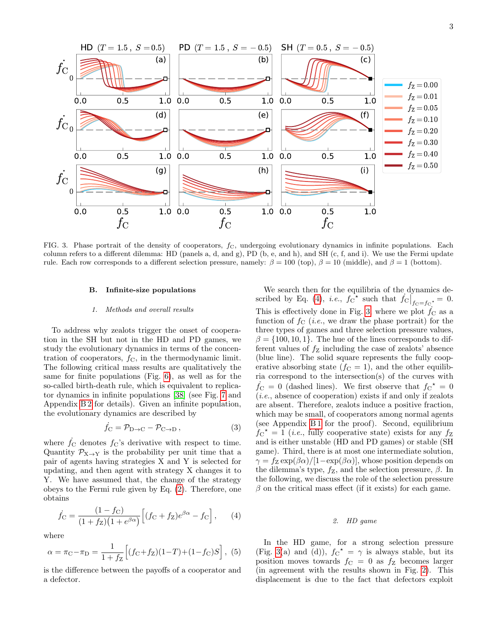

<span id="page-2-1"></span>FIG. 3. Phase portrait of the density of cooperators,  $f_c$ , undergoing evolutionary dynamics in infinite populations. Each column refers to a different dilemma: HD (panels a, d, and g), PD (b, e, and h), and SH (c, f, and i). We use the Fermi update rule. Each row corresponds to a different selection pressure, namely:  $\beta = 100$  (top),  $\beta = 10$  (middle), and  $\beta = 1$  (bottom).

#### B. Infinite-size populations

#### 1. Methods and overall results

To address why zealots trigger the onset of cooperation in the SH but not in the HD and PD games, we study the evolutionary dynamics in terms of the concentration of cooperators,  $f_{\rm C}$ , in the thermodynamic limit. The following critical mass results are qualitatively the same for finite populations (Fig. [6\)](#page-6-0), as well as for the so-called birth-death rule, which is equivalent to replicator dynamics in infinite populations [\[38\]](#page-13-30) (see Fig. [7](#page-9-0) and Appendix [B 2](#page-7-1) for details). Given an infinite population, the evolutionary dynamics are described by

$$
\dot{f}_{\rm C} = \mathcal{P}_{\rm D \to C} - \mathcal{P}_{\rm C \to D} , \qquad (3)
$$

where  $f_{\rm C}$  denotes  $f_{\rm C}$ 's derivative with respect to time. Quantity  $\mathcal{P}_{X\to Y}$  is the probability per unit time that a pair of agents having strategies X and Y is selected for updating, and then agent with strategy X changes it to Y. We have assumed that, the change of the strategy obeys to the Fermi rule given by Eq. [\(2\)](#page-1-2). Therefore, one obtains

<span id="page-2-0"></span>
$$
\dot{f}_{\rm C} = \frac{(1 - f_{\rm C})}{(1 + f_{\rm Z})(1 + e^{\beta \alpha})} \left[ (f_{\rm C} + f_{\rm Z}) e^{\beta \alpha} - f_{\rm C} \right], \qquad (4)
$$

where

$$
\alpha = \pi_{\rm C} - \pi_{\rm D} = \frac{1}{1 + f_{\rm Z}} \left[ (f_{\rm C} + f_{\rm Z}) (1 - T) + (1 - f_{\rm C}) S \right], (5)
$$

is the difference between the payoffs of a cooperator and a defector.

We search then for the equilibria of the dynamics de-scribed by Eq. [\(4\)](#page-2-0), *i.e.*,  $f_C^{\dagger}$  such that  $f_C|_{f_C = f_C^{\dagger}}^{\dagger} = 0$ . This is effectively done in Fig. [3,](#page-2-1) where we plot  $f<sub>C</sub>$  as a function of  $f_C$  (*i.e.*, we draw the phase portrait) for the three types of games and three selection pressure values,  $\beta = \{100, 10, 1\}$ . The hue of the lines corresponds to different values of  $f_Z$  including the case of zealots' absence (blue line). The solid square represents the fully cooperative absorbing state  $(f<sub>C</sub> = 1)$ , and the other equilibria correspond to the intersection(s) of the curves with  $\dot{f}_{\rm C} = 0$  (dashed lines). We first observe that  $f_{\rm C}^{\star} = 0$  $(i.e., absence of cooperation) exists if and only if zealots$ are absent. Therefore, zealots induce a positive fraction, which may be small, of cooperators among normal agents (see Appendix [B 1](#page-7-0) for the proof). Second, equilibrium  $f_{\rm C}^{\star} = 1$  (*i.e.*, fully cooperative state) exists for any  $f_{\rm Z}$ and is either unstable (HD and PD games) or stable (SH game). Third, there is at most one intermediate solution,  $\gamma = f_Z \exp(\beta \alpha) / [1 - \exp(\beta \alpha)]$ , whose position depends on the dilemma's type,  $f_Z$ , and the selection pressure,  $\beta$ . In the following, we discuss the role of the selection pressure  $\beta$  on the critical mass effect (if it exists) for each game.

#### 2. HD game

In the HD game, for a strong selection pressure (Fig. [3\(](#page-2-1)a) and (d)),  $f_C^* = \gamma$  is always stable, but its position moves towards  $f_C = 0$  as  $f_Z$  becomes larger (in agreement with the results shown in Fig. [2\)](#page-1-1). This displacement is due to the fact that defectors exploit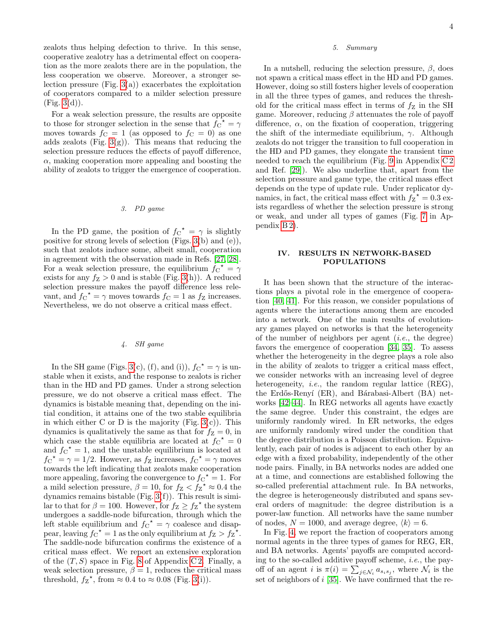zealots thus helping defection to thrive. In this sense, cooperative zealotry has a detrimental effect on cooperation as the more zealots there are in the population, the less cooperation we observe. Moreover, a stronger selection pressure (Fig.  $3(a)$ ) exacerbates the exploitation of cooperators compared to a milder selection pressure  $(Fig. 3(d)).$  $(Fig. 3(d)).$  $(Fig. 3(d)).$ 

For a weak selection pressure, the results are opposite to those for stronger selection in the sense that  $f_{C}^{\dagger} = \gamma$ moves towards  $f_C = 1$  (as opposed to  $f_C = 0$ ) as one adds zealots (Fig.  $3(g)$ ). This means that reducing the selection pressure reduces the effects of payoff difference,  $\alpha$ , making cooperation more appealing and boosting the ability of zealots to trigger the emergence of cooperation.

# 3. PD game

In the PD game, the position of  $f_{\rm C}^* = \gamma$  is slightly positive for strong levels of selection (Figs. [3\(](#page-2-1)b) and (e)), such that zealots induce some, albeit small, cooperation in agreement with the observation made in Refs. [\[27,](#page-13-20) [28\]](#page-13-25). For a weak selection pressure, the equilibrium  $f_{\rm C}^* = \gamma$ exists for any  $f_Z > 0$  and is stable (Fig. [3\(](#page-2-1)h)). A reduced selection pressure makes the payoff difference less relevant, and  $f_C^* = \gamma$  moves towards  $f_C = 1$  as  $f_Z$  increases. Nevertheless, we do not observe a critical mass effect.

# 4. SH game

In the SH game (Figs. [3\(](#page-2-1)c), (f), and (i)),  $f_C^* = \gamma$  is unstable when it exists, and the response to zealots is richer than in the HD and PD games. Under a strong selection pressure, we do not observe a critical mass effect. The dynamics is bistable meaning that, depending on the initial condition, it attains one of the two stable equilibria in which either C or D is the majority (Fig.  $3(c)$ ). This dynamics is qualitatively the same as that for  $f_Z = 0$ , in which case the stable equilibria are located at  $f_{\rm C}^{\star} = 0$ and  $f_{\rm C}^{\star} = 1$ , and the unstable equilibrium is located at  $f_{\rm C}^{\star} = \gamma = 1/2$ . However, as  $f_{\rm Z}$  increases,  $f_{\rm C}^{\star} = \gamma$  moves towards the left indicating that zealots make cooperation more appealing, favoring the convergence to  $f_{\rm C}^{\dagger} = 1$ . For a mild selection pressure,  $\beta = 10$ , for  $f_Z < f_Z^{\star} \approx 0.4$  the dynamics remains bistable (Fig. [3\(](#page-2-1)f)). This result is similar to that for  $\beta = 100$ . However, for  $f_Z \ge f_Z^*$  the system undergoes a saddle-node bifurcation, through which the left stable equilibrium and  $f_{\rm C}^{\star} = \gamma$  coalesce and disappear, leaving  $f_{\rm C}^{\star} = 1$  as the only equilibrium at  $f_{\rm Z} > f_{\rm Z}^{\star}$ . The saddle-node bifurcation confirms the existence of a critical mass effect. We report an extensive exploration of the  $(T, S)$  space in Fig. [8](#page-11-0) of Appendix C2. Finally, a weak selection pressure,  $\beta = 1$ , reduces the critical mass threshold,  $f_Z^*$ , from  $\approx 0.4$  to  $\approx 0.08$  (Fig. [3\(](#page-2-1)i)).

### 5. Summary

In a nutshell, reducing the selection pressure,  $\beta$ , does not spawn a critical mass effect in the HD and PD games. However, doing so still fosters higher levels of cooperation in all the three types of games, and reduces the threshold for the critical mass effect in terms of  $f_Z$  in the SH game. Moreover, reducing  $\beta$  attenuates the role of payoff difference,  $\alpha$ , on the fixation of cooperation, triggering the shift of the intermediate equilibrium,  $\gamma$ . Although zealots do not trigger the transition to full cooperation in the HD and PD games, they elongate the transient time needed to reach the equilibrium (Fig. [9](#page-11-1) in Appendix [C 2](#page-10-0) and Ref. [\[29\]](#page-13-21)). We also underline that, apart from the selection pressure and game type, the critical mass effect depends on the type of update rule. Under replicator dynamics, in fact, the critical mass effect with  $f_Z^{\star} = 0.3$  exists regardless of whether the selection pressure is strong or weak, and under all types of games (Fig. [7](#page-9-0) in Appendix [B 2\)](#page-7-1).

# IV. RESULTS IN NETWORK-BASED POPULATIONS

It has been shown that the structure of the interactions plays a pivotal role in the emergence of cooperation [\[40,](#page-13-32) [41\]](#page-13-33). For this reason, we consider populations of agents where the interactions among them are encoded into a network. One of the main results of evolutionary games played on networks is that the heterogeneity of the number of neighbors per agent  $(i.e.,$  the degree) favors the emergence of cooperation [\[34,](#page-13-34) [35\]](#page-13-27). To assess whether the heterogeneity in the degree plays a role also in the ability of zealots to trigger a critical mass effect, we consider networks with an increasing level of degree heterogeneity, *i.e.*, the random regular lattice (REG), the Erdős-Renyí (ER), and Bárabasi-Albert (BA) networks [\[42](#page-13-35)[–44\]](#page-14-0). In REG networks all agents have exactly the same degree. Under this constraint, the edges are uniformly randomly wired. In ER networks, the edges are uniformly randomly wired under the condition that the degree distribution is a Poisson distribution. Equivalently, each pair of nodes is adjacent to each other by an edge with a fixed probability, independently of the other node pairs. Finally, in BA networks nodes are added one at a time, and connections are established following the so-called preferential attachment rule. In BA networks, the degree is heterogeneously distributed and spans several orders of magnitude: the degree distribution is a power-law function. All networks have the same number of nodes,  $N = 1000$ , and average degree,  $\langle k \rangle = 6$ .

In Fig. [4,](#page-4-0) we report the fraction of cooperators among normal agents in the three types of games for REG, ER, and BA networks. Agents' payoffs are computed according to the so-called additive payoff scheme, i.e., the payoff of an agent *i* is  $\pi(i) = \sum_{j \in \mathcal{N}_i} a_{s_i s_j}$ , where  $\mathcal{N}_i$  is the set of neighbors of  $i$  [\[35\]](#page-13-27). We have confirmed that the re-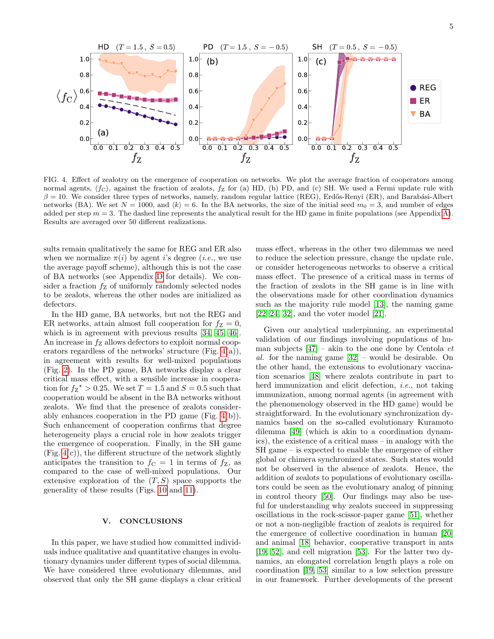

<span id="page-4-0"></span>FIG. 4. Effect of zealotry on the emergence of cooperation on networks. We plot the average fraction of cooperators among normal agents,  $\langle f_C \rangle$ , against the fraction of zealots,  $f_Z$  for (a) HD, (b) PD, and (c) SH. We used a Fermi update rule with  $\beta = 10$ . We consider three types of networks, namely, random regular lattice (REG), Erdős-Renyí (ER), and Barabási-Albert networks (BA). We set  $N = 1000$ , and  $\langle k \rangle = 6$ . In the BA networks, the size of the initial seed  $m_0 = 3$ , and number of edges added per step  $m = 3$ . The dashed line represents the analytical result for the HD game in finite populations (see Appendix [A\)](#page-5-0). Results are averaged over 50 different realizations.

sults remain qualitatively the same for REG and ER also when we normalize  $\pi(i)$  by agent i's degree (i.e., we use the average payoff scheme), although this is not the case of BA networks (see Appendix [D](#page-11-2) for details). We consider a fraction  $f_Z$  of uniformly randomly selected nodes to be zealots, whereas the other nodes are initialized as defectors.

In the HD game, BA networks, but not the REG and ER networks, attain almost full cooperation for  $f_Z = 0$ , which is in agreement with previous results [\[34,](#page-13-34) [45,](#page-14-1) [46\]](#page-14-2). An increase in  $f_Z$  allows defectors to exploit normal cooperators regardless of the networks' structure (Fig. [4\(](#page-4-0)a)), in agreement with results for well-mixed populations (Fig. [2\)](#page-1-1). In the PD game, BA networks display a clear critical mass effect, with a sensible increase in cooperation for  $f_Z^* > 0.25$ . We set  $T = 1.5$  and  $S = 0.5$  such that cooperation would be absent in the BA networks without zealots. We find that the presence of zealots considerably enhances cooperation in the PD game (Fig. [4\(](#page-4-0)b)). Such enhancement of cooperation confirms that degree heterogeneity plays a crucial role in how zealots trigger the emergence of cooperation. Finally, in the SH game  $(Fig. 4(c))$  $(Fig. 4(c))$  $(Fig. 4(c))$ , the different structure of the network slightly anticipates the transition to  $f<sub>C</sub> = 1$  in terms of  $f<sub>Z</sub>$ , as compared to the case of well-mixed populations. Our extensive exploration of the  $(T, S)$  space supports the generality of these results (Figs. [10](#page-12-0) and [11\)](#page-12-1).

#### V. CONCLUSIONS

In this paper, we have studied how committed individuals induce qualitative and quantitative changes in evolutionary dynamics under different types of social dilemma. We have considered three evolutionary dilemmas, and observed that only the SH game displays a clear critical

mass effect, whereas in the other two dilemmas we need to reduce the selection pressure, change the update rule, or consider heterogeneous networks to observe a critical mass effect. The presence of a critical mass in terms of the fraction of zealots in the SH game is in line with the observations made for other coordination dynamics such as the majority rule model [\[13\]](#page-13-8), the naming game [\[22–](#page-13-16)[24,](#page-13-17) [32\]](#page-13-24), and the voter model [\[21\]](#page-13-15).

Given our analytical underpinning, an experimental validation of our findings involving populations of human subjects  $[47]$  – akin to the one done by Centola *et* al. for the naming game [\[32\]](#page-13-24) – would be desirable. On the other hand, the extensions to evolutionary vaccination scenarios [\[48\]](#page-14-4) where zealots contribute in part to herd immunization and elicit defection, i.e., not taking immunization, among normal agents (in agreement with the phenomenology observed in the HD game) would be straightforward. In the evolutionary synchronization dynamics based on the so-called evolutionary Kuramoto dilemma [\[49\]](#page-14-5) (which is akin to a coordination dynamics), the existence of a critical mass – in analogy with the SH game – is expected to enable the emergence of either global or chimera synchronized states. Such states would not be observed in the absence of zealots. Hence, the addition of zealots to populations of evolutionary oscillators could be seen as the evolutionary analog of pinning in control theory [\[50\]](#page-14-6). Our findings may also be useful for understanding why zealots succeed in suppressing oscillations in the rock-scissor-paper game [\[51\]](#page-14-7), whether or not a non-negligible fraction of zealots is required for the emergence of collective coordination in human [\[20\]](#page-13-14) and animal [\[18\]](#page-13-13) behavior, cooperative transport in ants [\[19,](#page-13-36) [52\]](#page-14-8), and cell migration [\[53\]](#page-14-9). For the latter two dynamics, an elongated correlation length plays a role on coordination [\[19,](#page-13-36) [53\]](#page-14-9) similar to a low selection pressure in our framework. Further developments of the present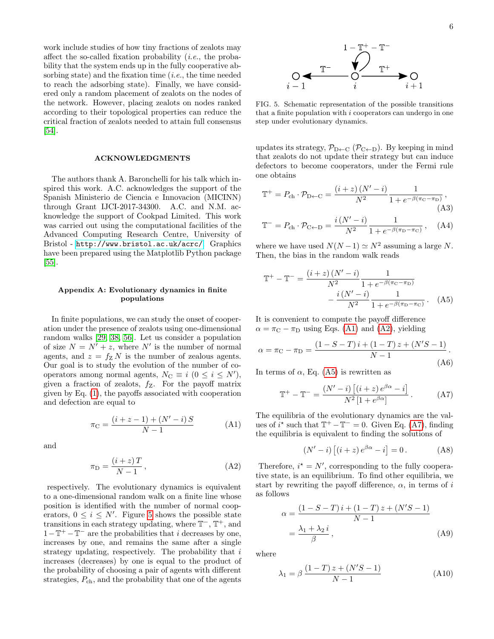work include studies of how tiny fractions of zealots may affect the so-called fixation probability  $(i.e.,$  the probability that the system ends up in the fully cooperative absorbing state) and the fixation time  $(i.e.,$  the time needed to reach the adsorbing state). Finally, we have considered only a random placement of zealots on the nodes of the network. However, placing zealots on nodes ranked according to their topological properties can reduce the critical fraction of zealots needed to attain full consensus [\[54\]](#page-14-10).

### ACKNOWLEDGMENTS

The authors thank A. Baronchelli for his talk which inspired this work. A.C. acknowledges the support of the Spanish Ministerio de Ciencia e Innovacion (MICINN) through Grant IJCI-2017-34300. A.C. and N.M. acknowledge the support of Cookpad Limited. This work was carried out using the computational facilities of the Advanced Computing Research Centre, University of Bristol - <http://www.bristol.ac.uk/acrc/>. Graphics have been prepared using the Matplotlib Python package [\[55\]](#page-14-11).

## <span id="page-5-0"></span>Appendix A: Evolutionary dynamics in finite populations

In finite populations, we can study the onset of cooperation under the presence of zealots using one-dimensional random walks [\[29,](#page-13-21) [38,](#page-13-30) [56\]](#page-14-12). Let us consider a population of size  $N = N^{\prime} + z$ , where N' is the number of normal agents, and  $z = f_Z N$  is the number of zealous agents. Our goal is to study the evolution of the number of cooperators among normal agents,  $N_{\text{C}} \equiv i \ (0 \leq i \leq N'),$ given a fraction of zealots,  $f_Z$ . For the payoff matrix given by Eq. [\(1\)](#page-1-3), the payoffs associated with cooperation and defection are equal to

$$
\pi_{\mathcal{C}} = \frac{(i+z-1) + (N'-i) S}{N-1}
$$
 (A1)

and

$$
\pi_{\mathcal{D}} = \frac{(i+z)T}{N-1},\tag{A2}
$$

respectively. The evolutionary dynamics is equivalent to a one-dimensional random walk on a finite line whose position is identified with the number of normal cooperators,  $0 \leq i \leq N'$ . Figure [5](#page-5-1) shows the possible state transitions in each strategy updating, where  $\mathbb{T}^{-}$ ,  $\mathbb{T}^{+}$ , and  $1 - \mathbb{T}^+ - \mathbb{T}^-$  are the probabilities that *i* decreases by one, increases by one, and remains the same after a single strategy updating, respectively. The probability that  $i$ increases (decreases) by one is equal to the product of the probability of choosing a pair of agents with different strategies,  $P_{ch}$ , and the probability that one of the agents

6



<span id="page-5-1"></span>FIG. 5. Schematic representation of the possible transitions that a finite population with  $i$  cooperators can undergo in one step under evolutionary dynamics.

updates its strategy,  $\mathcal{P}_{D\leftarrow C}$  ( $\mathcal{P}_{C\leftarrow D}$ ). By keeping in mind that zealots do not update their strategy but can induce defectors to become cooperators, under the Fermi rule one obtains

$$
\mathbb{T}^{+} = P_{\text{ch}} \cdot \mathcal{P}_{\text{D} \leftarrow \text{C}} = \frac{(i+z)(N'-i)}{N^2} \frac{1}{1 + e^{-\beta(\pi_{\text{C}} - \pi_{\text{D}})}},
$$
\n(A3)\n
$$
\mathbb{T}^{-} = P_{\text{ch}} \cdot \mathcal{P}_{\text{C} \leftarrow \text{D}} = \frac{i(N'-i)}{N^2} \frac{1}{1 + e^{-\beta(\pi_{\text{D}} - \pi_{\text{C}})}},
$$
\n(A4)

where we have used  $N(N-1) \simeq N^2$  assuming a large N. Then, the bias in the random walk reads

<span id="page-5-4"></span>
$$
\mathbb{T}^{+} - \mathbb{T}^{-} = \frac{\left(i+z\right)\left(N'-i\right)}{N^2} \frac{1}{1 + e^{-\beta(\pi_{\rm C} - \pi_{\rm D})}} - \frac{i\left(N'-i\right)}{N^2} \frac{1}{1 + e^{-\beta(\pi_{\rm D} - \pi_{\rm C})}}.
$$
 (A5)

It is convenient to compute the payoff difference  $\alpha = \pi_{\rm C} - \pi_{\rm D}$  using Eqs. [\(A1\)](#page-5-2) and [\(A2\)](#page-5-3), yielding

$$
\alpha = \pi_{\rm C} - \pi_{\rm D} = \frac{(1 - S - T)i + (1 - T)z + (N'S - 1)}{N - 1}.
$$
\n(A6)

In terms of  $\alpha$ , Eq. [\(A5\)](#page-5-4) is rewritten as

<span id="page-5-5"></span>
$$
\mathbb{T}^{+} - \mathbb{T}^{-} = \frac{(N'-i)\left[ (i+z)\,e^{\beta\alpha} - i \right]}{N^2\left[ 1 + e^{\beta\alpha} \right]}.
$$
 (A7)

<span id="page-5-2"></span>The equilibria of the evolutionary dynamics are the values of  $i^*$  such that  $\mathbb{T}^+ - \mathbb{T}^- = 0$ . Given Eq. [\(A7\)](#page-5-5), finding the equilibria is equivalent to finding the solutions of

<span id="page-5-6"></span>
$$
(N'-i)\left[(i+z)e^{\beta\alpha}-i\right]=0.
$$
 (A8)

<span id="page-5-3"></span>Therefore,  $i^* = N'$ , corresponding to the fully cooperative state, is an equilibrium. To find other equilibria, we start by rewriting the payoff difference,  $\alpha$ , in terms of i as follows

$$
\alpha = \frac{(1 - S - T)i + (1 - T)z + (N'S - 1)}{N - 1} = \frac{\lambda_1 + \lambda_2 i}{\beta},
$$
\n(A9)

where

<span id="page-5-7"></span>
$$
\lambda_1 = \beta \, \frac{(1 - T) \, z + (N' S - 1)}{N - 1} \tag{A10}
$$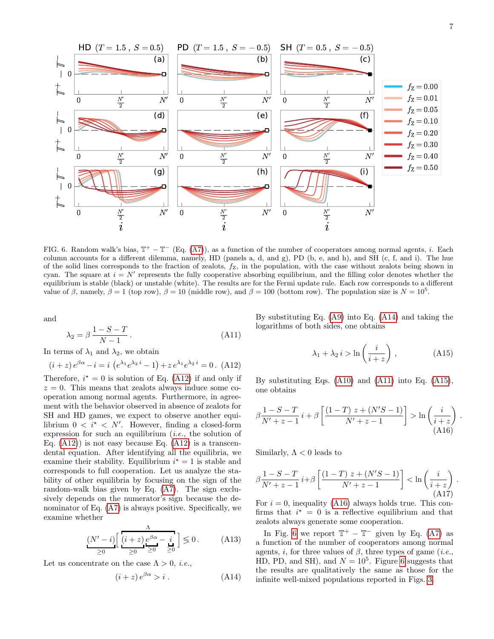<span id="page-6-5"></span><span id="page-6-4"></span>.



<span id="page-6-0"></span>FIG. 6. Random walk's bias,  $T^+ - T^-$  (Eq. [\(A7\)](#page-5-5)), as a function of the number of cooperators among normal agents, *i*. Each column accounts for a different dilemma, namely, HD (panels a, d, and g), PD (b, e, and h), and SH (c, f, and i). The hue of the solid lines corresponds to the fraction of zealots,  $f_Z$ , in the population, with the case without zealots being shown in cyan. The square at  $i = N'$  represents the fully cooperative absorbing equilibrium, and the filling color denotes whether the equilibrium is stable (black) or unstable (white). The results are for the Fermi update rule. Each row corresponds to a different value of β, namely,  $\beta = 1$  (top row),  $\beta = 10$  (middle row), and  $\beta = 100$  (bottom row). The population size is  $N = 10^5$ .

and

$$
\lambda_2 = \beta \, \frac{1 - S - T}{N - 1} \,. \tag{A11}
$$

In terms of  $\lambda_1$  and  $\lambda_2$ , we obtain

<span id="page-6-1"></span>
$$
(i+z)e^{\beta\alpha} - i = i\left(e^{\lambda_1}e^{\lambda_2 i} - 1\right) + ze^{\lambda_1}e^{\lambda_2 i} = 0. \tag{A12}
$$

Therefore,  $i^* = 0$  is solution of Eq. [\(A12\)](#page-6-1) if and only if  $z = 0$ . This means that zealots always induce some cooperation among normal agents. Furthermore, in agreement with the behavior observed in absence of zealots for SH and HD games, we expect to observe another equilibrium  $0 \lt i^* \lt N'$ . However, finding a closed-form expression for such an equilibrium  $(i.e.,$  the solution of Eq.  $(A12)$  is not easy because Eq.  $(A12)$  is a transcendental equation. After identifying all the equilibria, we examine their stability. Equilibrium  $i^* = 1$  is stable and corresponds to full cooperation. Let us analyze the stability of other equilibria by focusing on the sign of the random-walk bias given by Eq. [\(A7\)](#page-5-5). The sign exclusively depends on the numerator's sign because the denominator of Eq. [\(A7\)](#page-5-5) is always positive. Specifically, we examine whether

$$
\underbrace{(N'-i)\left[\frac{\Lambda}{(i+z)}\underbrace{e^{\beta\alpha}-i}_{\geq 0}\right]}_{\geq 0} \leq 0. \tag{A13}
$$

Let us concentrate on the case  $\Lambda > 0$ , *i.e.*,

$$
(i+z)e^{\beta\alpha} > i . \tag{A14}
$$

<span id="page-6-3"></span>By substituting Eq. [\(A9\)](#page-5-6) into Eq. [\(A14\)](#page-6-2) and taking the logarithms of both sides, one obtains

$$
\lambda_1 + \lambda_2 i > \ln\left(\frac{i}{i+z}\right),\tag{A15}
$$

By substituting Eqs. [\(A10\)](#page-5-7) and [\(A11\)](#page-6-3) into Eq. [\(A15\)](#page-6-4), one obtains

$$
\beta \frac{1-S-T}{N'+z-1} i + \beta \left[ \frac{(1-T) z + (N'S-1)}{N'+z-1} \right] > \ln \left( \frac{i}{i+z} \right) \tag{A16}
$$

Similarly,  $\Lambda < 0$  leads to

$$
\beta \frac{1-S-T}{N'+z-1} i+\beta \left[ \frac{(1-T) z + (N'S-1)}{N'+z-1} \right] < \ln \left( \frac{i}{i+z} \right) .
$$
\n(A17)

For  $i = 0$ , inequality [\(A16\)](#page-6-5) always holds true. This confirms that  $i^* = 0$  is a reflective equilibrium and that zealots always generate some cooperation.

<span id="page-6-2"></span>In Fig. [6](#page-6-0) we report  $\mathbb{T}^+ - \mathbb{T}^-$  given by Eq. [\(A7\)](#page-5-5) as a function of the number of cooperators among normal agents, i, for three values of  $\beta$ , three types of game (i.e., HD, PD, and SH), and  $N = 10^5$ . Figure [6](#page-6-0) suggests that the results are qualitatively the same as those for the infinite well-mixed populations reported in Figs. [3.](#page-2-1)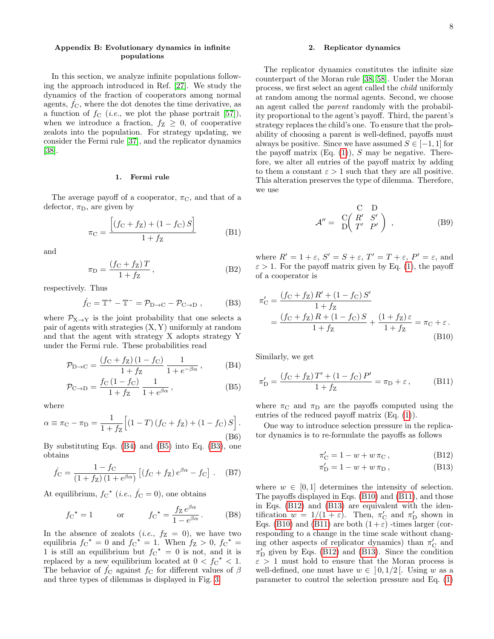# Appendix B: Evolutionary dynamics in infinite populations

In this section, we analyze infinite populations following the approach introduced in Ref. [\[27\]](#page-13-20). We study the dynamics of the fraction of cooperators among normal agents,  $f_{\rm C}$ , where the dot denotes the time derivative, as a function of  $f_C$  (*i.e.*, we plot the phase portrait [\[57\]](#page-14-13)), when we introduce a fraction,  $f_Z \geq 0$ , of cooperative zealots into the population. For strategy updating, we consider the Fermi rule [\[37\]](#page-13-29), and the replicator dynamics [\[38\]](#page-13-30).

# <span id="page-7-0"></span>1. Fermi rule

The average payoff of a cooperator,  $\pi_{\rm C}$ , and that of a defector,  $\pi_D$ , are given by

$$
\pi_{\rm C} = \frac{\left[ (f_{\rm C} + f_{\rm Z}) + (1 - f_{\rm C}) S \right]}{1 + f_{\rm Z}} \tag{B1}
$$

and

$$
\pi_{\rm D} = \frac{(f_{\rm C} + f_{\rm Z})T}{1 + f_{\rm Z}},\tag{B2}
$$

respectively. Thus

<span id="page-7-4"></span>
$$
\dot{f}_{\rm C} = \mathbb{T}^+ - \mathbb{T}^- = \mathcal{P}_{\rm D \to C} - \mathcal{P}_{\rm C \to D} , \qquad (B3)
$$

where  $\mathcal{P}_{X\to Y}$  is the joint probability that one selects a pair of agents with strategies (X, Y) uniformly at random and that the agent with strategy X adopts strategy Y under the Fermi rule. These probabilities read

$$
\mathcal{P}_{D \to C} = \frac{(f_C + f_Z)(1 - f_C)}{1 + f_Z} \frac{1}{1 + e^{-\beta \alpha}},
$$
 (B4)

$$
\mathcal{P}_{\text{C}\to\text{D}} = \frac{f_{\text{C}}\,(1 - f_{\text{C}})}{1 + f_{\text{Z}}} \,\frac{1}{1 + e^{\beta \alpha}}\,,\tag{B5}
$$

where

$$
\alpha \equiv \pi_{\rm C} - \pi_{\rm D} = \frac{1}{1 + f_{\rm Z}} \Big[ (1 - T) \left( f_{\rm C} + f_{\rm Z} \right) + (1 - f_{\rm C}) S \Big].
$$
\n(B6)

By substituting Eqs. [\(B4\)](#page-7-2) and [\(B5\)](#page-7-3) into Eq. [\(B3\)](#page-7-4), one obtains

$$
\dot{f}_{\rm C} = \frac{1 - f_{\rm C}}{(1 + f_{\rm Z}) (1 + e^{\beta \alpha})} [(f_{\rm C} + f_{\rm Z}) e^{\beta \alpha} - f_{\rm C}] \ . \quad (B7)
$$

At equilibrium,  $f_C^{\star}$  (*i.e.*,  $\dot{f}_C = 0$ ), one obtains

$$
f_{\rm C}{}^{\star} = 1
$$
 or  $f_{\rm C}{}^{\star} = \frac{f_{\rm Z} e^{\beta \alpha}}{1 - e^{\beta \alpha}}$ . (B8)

In the absence of zealots (*i.e.*,  $f_Z = 0$ ), we have two equilibria  $f_C^* = 0$  and  $f_C^* = 1$ . When  $f_Z > 0$ ,  $f_C^* =$ 1 is still an equilibrium but  $fC^* = 0$  is not, and it is replaced by a new equilibrium located at  $0 < f<sub>C</sub>^{\star} < 1$ . The behavior of  $f_{\rm C}$  against  $f_{\rm C}$  for different values of  $\beta$ and three types of dilemmas is displayed in Fig. [3.](#page-2-1)

### <span id="page-7-1"></span>2. Replicator dynamics

The replicator dynamics constitutes the infinite size counterpart of the Moran rule [\[38,](#page-13-30) [58\]](#page-14-14). Under the Moran process, we first select an agent called the child uniformly at random among the normal agents. Second, we choose an agent called the parent randomly with the probability proportional to the agent's payoff. Third, the parent's strategy replaces the child's one. To ensure that the probability of choosing a parent is well-defined, payoffs must always be positive. Since we have assumed  $S \in [-1, 1]$  for the payoff matrix  $(Eq. (1)), S$  $(Eq. (1)), S$  $(Eq. (1)), S$  may be negative. Therefore, we alter all entries of the payoff matrix by adding to them a constant  $\varepsilon > 1$  such that they are all positive. This alteration preserves the type of dilemma. Therefore, we use

$$
\mathcal{A}'' = \begin{array}{c} C & D \\ D \begin{pmatrix} R' & S' \\ T' & P' \end{pmatrix} , \end{array}
$$
 (B9)

where  $R' = 1 + \varepsilon$ ,  $S' = S + \varepsilon$ ,  $T' = T + \varepsilon$ ,  $P' = \varepsilon$ , and  $\varepsilon > 1$ . For the payoff matrix given by Eq. [\(1\)](#page-1-3), the payoff of a cooperator is

$$
\pi'_{\rm C} = \frac{(f_{\rm C} + f_{\rm Z}) R' + (1 - f_{\rm C}) S'}{1 + f_{\rm Z}} \n= \frac{(f_{\rm C} + f_{\rm Z}) R + (1 - f_{\rm C}) S}{1 + f_{\rm Z}} + \frac{(1 + f_{\rm Z}) \varepsilon}{1 + f_{\rm Z}} = \pi_{\rm C} + \varepsilon.
$$
\n(B10)

<span id="page-7-2"></span>Similarly, we get

<span id="page-7-3"></span>
$$
\pi'_{D} = \frac{(f_{C} + f_{Z})T' + (1 - f_{C})P'}{1 + f_{Z}} = \pi_{D} + \varepsilon, \quad (B11)
$$

where  $\pi_{\rm C}$  and  $\pi_{\rm D}$  are the payoffs computed using the entries of the reduced payoff matrix (Eq. [\(1\)](#page-1-3)).

One way to introduce selection pressure in the replicator dynamics is to re-formulate the payoffs as follows

<span id="page-7-8"></span><span id="page-7-7"></span><span id="page-7-6"></span><span id="page-7-5"></span>
$$
\pi'_{\mathcal{C}} = 1 - w + w \,\pi_{\mathcal{C}}\,,\tag{B12}
$$

$$
\pi'_{\mathcal{D}} = 1 - w + w \, \pi_{\mathcal{D}} \,, \tag{B13}
$$

where  $w \in [0, 1]$  determines the intensity of selection. The payoffs displayed in Eqs. [\(B10\)](#page-7-5) and [\(B11\)](#page-7-6), and those in Eqs. [\(B12\)](#page-7-7) and [\(B13\)](#page-7-8) are equivalent with the identification  $w = 1/(1 + \varepsilon)$ . Then,  $\pi'_{\rm C}$  and  $\pi'_{\rm D}$  shown in Eqs. [\(B10\)](#page-7-5) and [\(B11\)](#page-7-6) are both  $(1+\varepsilon)$  -times larger (corresponding to a change in the time scale without changing other aspects of replicator dynamics) than  $\pi'_{\mathrm{C}}$  and  $\pi'_{\mathcal{D}}$  given by Eqs. [\(B12\)](#page-7-7) and [\(B13\)](#page-7-8). Since the condition  $\varepsilon > 1$  must hold to ensure that the Moran process is well-defined, one must have  $w \in [0, 1/2]$ . Using w as a parameter to control the selection pressure and Eq. [\(1\)](#page-1-3)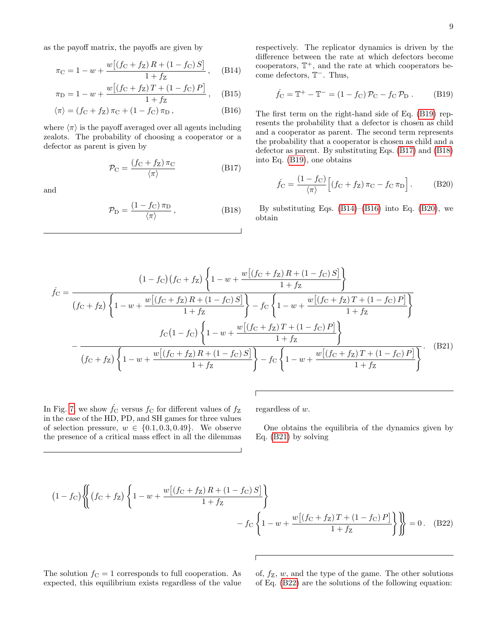as the payoff matrix, the payoffs are given by

$$
\pi_{\rm C} = 1 - w + \frac{w[(f_{\rm C} + f_{\rm Z})R + (1 - f_{\rm C})S]}{1 + f_{\rm Z}}, \quad \text{(B14)}
$$

$$
\pi_{\rm D} = 1 - w + \frac{w \left[ \left( f_{\rm C} + f_{\rm Z} \right) T + \left( 1 - f_{\rm C} \right) P \right]}{1 + f_{\rm Z}}, \quad \text{(B15)}
$$

$$
\langle \pi \rangle = (f_C + f_Z) \pi_C + (1 - f_C) \pi_D , \qquad (B16)
$$

where  $\langle \pi \rangle$  is the payoff averaged over all agents including zealots. The probability of choosing a cooperator or a defector as parent is given by

$$
\mathcal{P}_{\rm C} = \frac{(f_{\rm C} + f_{\rm Z}) \pi_{\rm C}}{\langle \pi \rangle} \tag{B17}
$$

and

$$
\mathcal{P}_{\rm D} = \frac{(1 - f_{\rm C}) \pi_{\rm D}}{\langle \pi \rangle},\tag{B18}
$$

<span id="page-8-3"></span>respectively. The replicator dynamics is driven by the difference between the rate at which defectors become cooperators,  $\mathbb{T}^+$ , and the rate at which cooperators become defectors,  $T^-$ . Thus,

<span id="page-8-0"></span>
$$
\dot{f}_{\rm C} = \mathbb{T}^+ - \mathbb{T}^- = (1 - f_{\rm C}) \mathcal{P}_{\rm C} - f_{\rm C} \mathcal{P}_{\rm D} . \qquad (B19)
$$

<span id="page-8-4"></span>The first term on the right-hand side of Eq. [\(B19\)](#page-8-0) represents the probability that a defector is chosen as child and a cooperator as parent. The second term represents the probability that a cooperator is chosen as child and a defector as parent. By substituting Eqs. [\(B17\)](#page-8-1) and [\(B18\)](#page-8-2) into Eq. [\(B19\)](#page-8-0), one obtains

<span id="page-8-5"></span><span id="page-8-1"></span>
$$
\dot{f}_{\rm C} = \frac{(1 - f_{\rm C})}{\langle \pi \rangle} \Big[ (f_{\rm C} + f_{\rm Z}) \, \pi_{\rm C} - f_{\rm C} \, \pi_{\rm D} \Big]. \tag{B20}
$$

<span id="page-8-2"></span>By substituting Eqs.  $(B14)$ – $(B16)$  into Eq.  $(B20)$ , we obtain

$$
\dot{f}_{\rm C} = \frac{(1 - f_{\rm C}) (f_{\rm C} + f_{\rm Z}) \left\{ 1 - w + \frac{w \left[ (f_{\rm C} + f_{\rm Z}) R + (1 - f_{\rm C}) S \right]}{1 + f_{\rm Z}} \right\}}{(f_{\rm C} + f_{\rm Z}) \left\{ 1 - w + \frac{w \left[ (f_{\rm C} + f_{\rm Z}) R + (1 - f_{\rm C}) S \right]}{1 + f_{\rm Z}} \right\} - f_{\rm C} \left\{ 1 - w + \frac{w \left[ (f_{\rm C} + f_{\rm Z}) T + (1 - f_{\rm C}) P \right]}{1 + f_{\rm Z}} \right\}}{f_{\rm C} (1 - f_{\rm C}) \left\{ 1 - w + \frac{w \left[ (f_{\rm C} + f_{\rm Z}) T + (1 - f_{\rm C}) P \right]}{1 + f_{\rm Z}} \right\}} - \frac{f_{\rm C} (1 - f_{\rm C}) \left\{ 1 - w + \frac{w \left[ (f_{\rm C} + f_{\rm Z}) T + (1 - f_{\rm C}) P \right]}{1 + f_{\rm Z}} \right\}}{f_{\rm C} (f_{\rm C} + f_{\rm Z}) \left\{ 1 - w + \frac{w \left[ (f_{\rm C} + f_{\rm Z}) R + (1 - f_{\rm C}) S \right]}{1 + f_{\rm Z}} \right\} - f_{\rm C} \left\{ 1 - w + \frac{w \left[ (f_{\rm C} + f_{\rm Z}) T + (1 - f_{\rm C}) P \right]}{1 + f_{\rm Z}} \right\}}. \tag{B21}
$$

<span id="page-8-6"></span> $\sqrt{2}$ 

In Fig. [7,](#page-9-0) we show  $\dot{f}_C$  versus  $f_C$  for different values of  $f_Z$ in the case of the HD, PD, and SH games for three values of selection pressure,  $w \in \{0.1, 0.3, 0.49\}$ . We observe the presence of a critical mass effect in all the dilemmas

regardless of w.

One obtains the equilibria of the dynamics given by Eq. [\(B21\)](#page-8-6) by solving

$$
(1 - f_C) \left\{ \left( f_C + f_Z \right) \left\{ 1 - w + \frac{w \left[ \left( f_C + f_Z \right) R + \left( 1 - f_C \right) S \right]}{1 + f_Z} \right\} - f_C \left\{ 1 - w + \frac{w \left[ \left( f_C + f_Z \right) T + \left( 1 - f_C \right) P \right]}{1 + f_Z} \right\} \right\} \right\} = 0. \quad (B22)
$$

The solution  $f<sub>C</sub> = 1$  corresponds to full cooperation. As expected, this equilibrium exists regardless of the value <span id="page-8-7"></span>of,  $f_Z$ , w, and the type of the game. The other solutions of Eq. [\(B22\)](#page-8-7) are the solutions of the following equation: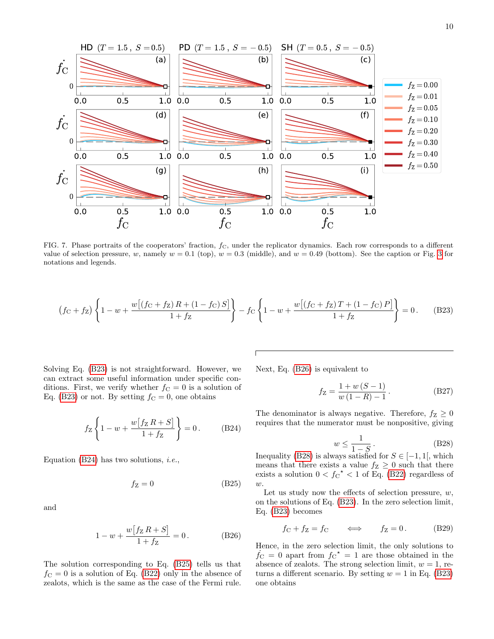

<span id="page-9-0"></span>FIG. 7. Phase portraits of the cooperators' fraction,  $f_c$ , under the replicator dynamics. Each row corresponds to a different value of selection pressure, w, namely  $w = 0.1$  (top),  $w = 0.3$  (middle), and  $w = 0.49$  (bottom). See the caption or Fig. [3](#page-2-1) for notations and legends.

<span id="page-9-1"></span>
$$
(f_C + f_Z) \left\{ 1 - w + \frac{w[(f_C + f_Z)R + (1 - f_C)S]}{1 + f_Z} \right\} - f_C \left\{ 1 - w + \frac{w[(f_C + f_Z)T + (1 - f_C)P]}{1 + f_Z} \right\} = 0. \tag{B23}
$$

Solving Eq. [\(B23\)](#page-9-1) is not straightforward. However, we can extract some useful information under specific conditions. First, we verify whether  $f_{\rm C} = 0$  is a solution of Eq. [\(B23\)](#page-9-1) or not. By setting  $f_C = 0$ , one obtains

<span id="page-9-2"></span>
$$
f_Z \left\{ 1 - w + \frac{w[f_Z R + S]}{1 + f_Z} \right\} = 0.
$$
 (B24)

Equation [\(B24\)](#page-9-2) has two solutions, *i.e.*,

$$
f_Z = 0 \tag{B25}
$$

and

$$
1 - w + \frac{w[f_Z R + S]}{1 + f_Z} = 0.
$$
 (B26)

The solution corresponding to Eq. [\(B25\)](#page-9-3) tells us that  $f<sub>C</sub> = 0$  is a solution of Eq. [\(B22\)](#page-8-7) only in the absence of zealots, which is the same as the case of the Fermi rule.

Next, Eq. [\(B26\)](#page-9-4) is equivalent to

$$
f_Z = \frac{1 + w (S - 1)}{w (1 - R) - 1}.
$$
 (B27)

The denominator is always negative. Therefore,  $f_Z \geq 0$ requires that the numerator must be nonpositive, giving

<span id="page-9-5"></span>
$$
w \le \frac{1}{1 - S} \tag{B28}
$$

Inequality [\(B28\)](#page-9-5) is always satisfied for  $S \in [-1,1]$ , which means that there exists a value  $f_Z \geq 0$  such that there exists a solution  $0 < f_C^{\star} < 1$  of Eq. [\(B22\)](#page-8-7) regardless of  $w$ .

<span id="page-9-3"></span>Let us study now the effects of selection pressure,  $w$ , on the solutions of Eq. [\(B23\)](#page-9-1). In the zero selection limit, Eq. [\(B23\)](#page-9-1) becomes

$$
f_C + f_Z = f_C \qquad \Longleftrightarrow \qquad f_Z = 0. \tag{B29}
$$

<span id="page-9-4"></span>Hence, in the zero selection limit, the only solutions to  $\dot{f}_{\rm C} = 0$  apart from  $f_{\rm C}^* = 1$  are those obtained in the absence of zealots. The strong selection limit,  $w = 1$ , returns a different scenario. By setting  $w = 1$  in Eq. [\(B23\)](#page-9-1) one obtains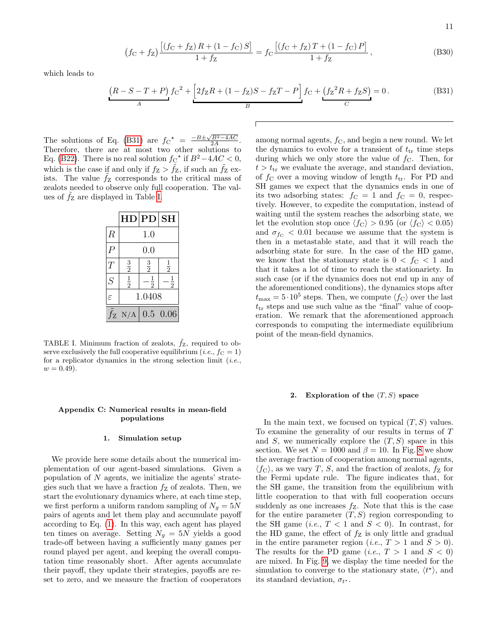11

$$
(f_C + f_Z) \frac{[(f_C + f_Z)R + (1 - f_C)S]}{1 + f_Z} = f_C \frac{[(f_C + f_Z)T + (1 - f_C)P]}{1 + f_Z},
$$
(B30)

which leads to

<span id="page-10-1"></span>
$$
\underbrace{(R - S - T + P)}_{A} f_C^2 + \underbrace{[2f_Z R + (1 - f_Z)S - f_Z T - P]}_{B} f_C + \underbrace{(f_Z^2 R + f_Z S)}_{C} = 0. \tag{B31}
$$

The solutions of Eq. [\(B31\)](#page-10-1) are  $f_C^* = \frac{-B \pm \sqrt{B^2 - 4AC}}{2A}$ . Therefore, there are at most two other solutions to Eq. [\(B22\)](#page-8-7). There is no real solution  $f_{\rm C}^{\star}$  if  $B^2 - 4AC < 0$ , which is the case if and only if  $f_Z > \tilde{f}_Z$ , if such an  $\tilde{f}_Z$  exists. The value  $f_Z$  corresponds to the critical mass of zealots needed to observe only full cooperation. The values of  $f_Z$  are displayed in Table [I.](#page-10-2)

|                | н             | PD            | <b>SH</b>     |
|----------------|---------------|---------------|---------------|
| $\,$           | 1.0           |               |               |
|                | $0.0\,$       |               |               |
| $\overline{T}$ | $\frac{3}{2}$ | $\frac{3}{2}$ | $\frac{1}{2}$ |
| $\overline{S}$ | $\frac{1}{2}$ | $\frac{1}{2}$ | $\frac{1}{2}$ |
| $\epsilon$     | 1.0408        |               |               |
| ΙZ             | N/A           | 0.5           | 0.06          |

<span id="page-10-2"></span>TABLE I. Minimum fraction of zealots,  $\tilde{f}_Z$ , required to observe exclusively the full cooperative equilibrium (*i.e.*,  $f_c = 1$ ) for a replicator dynamics in the strong selection limit  $(i.e.,$  $w = 0.49$ .

# Appendix C: Numerical results in mean-field populations

### 1. Simulation setup

We provide here some details about the numerical implementation of our agent-based simulations. Given a population of  $N$  agents, we initialize the agents' strategies such that we have a fraction  $f_Z$  of zealots. Then, we start the evolutionary dynamics where, at each time step, we first perform a uniform random sampling of  $N_g = 5N$ pairs of agents and let them play and accumulate payoff according to Eq. [\(1\)](#page-1-3). In this way, each agent has played ten times on average. Setting  $N_g = 5N$  yields a good trade-off between having a sufficiently many games per round played per agent, and keeping the overall computation time reasonably short. After agents accumulate their payoff, they update their strategies, payoffs are reset to zero, and we measure the fraction of cooperators

among normal agents,  $f_{\rm C}$ , and begin a new round. We let the dynamics to evolve for a transient of  $t_{tr}$  time steps during which we only store the value of  $f_{\rm C}$ . Then, for  $t > t_{tr}$  we evaluate the average, and standard deviation, of  $f_{\rm C}$  over a moving window of length  $t_{\rm tr}$ . For PD and SH games we expect that the dynamics ends in one of its two adsorbing states:  $f_C = 1$  and  $f_C = 0$ , respectively. However, to expedite the computation, instead of waiting until the system reaches the adsorbing state, we let the evolution stop once  $\langle f_C \rangle > 0.95$  (or  $\langle f_C \rangle < 0.05$ ) and  $\sigma_{f_C}$  < 0.01 because we assume that the system is then in a metastable state, and that it will reach the adsorbing state for sure. In the case of the HD game, we know that the stationary state is  $0 < f<sub>C</sub> < 1$  and that it takes a lot of time to reach the stationariety. In such case (or if the dynamics does not end up in any of the aforementioned conditions), the dynamics stops after  $t_{\text{max}} = 5 \cdot 10^5$  steps. Then, we compute  $\langle f_C \rangle$  over the last  $t_{\text{tr}}$  steps and use such value as the "final" value of cooperation. We remark that the aforementioned approach corresponds to computing the intermediate equilibrium point of the mean-field dynamics.

#### <span id="page-10-0"></span>2. Exploration of the  $(T, S)$  space

In the main text, we focused on typical  $(T, S)$  values. To examine the generality of our results in terms of T and S, we numerically explore the  $(T, S)$  space in this section. We set  $N = 1000$  and  $\beta = 10$ . In Fig. [8](#page-11-0) we show the average fraction of cooperation among normal agents,  $\langle f_C \rangle$ , as we vary T, S, and the fraction of zealots,  $f_Z$  for the Fermi update rule. The figure indicates that, for the SH game, the transition from the equilibrium with little cooperation to that with full cooperation occurs suddenly as one increases  $f_Z$ . Note that this is the case for the entire parameter  $(T, S)$  region corresponding to the SH game (*i.e.*,  $T < 1$  and  $S < 0$ ). In contrast, for the HD game, the effect of  $f_Z$  is only little and gradual in the entire parameter region (*i.e.*,  $T > 1$  and  $S > 0$ ). The results for the PD game (*i.e.*,  $T > 1$  and  $S < 0$ ) are mixed. In Fig. [9,](#page-11-1) we display the time needed for the simulation to converge to the stationary state,  $\langle t^* \rangle$ , and its standard deviation,  $\sigma_{t^*}$ .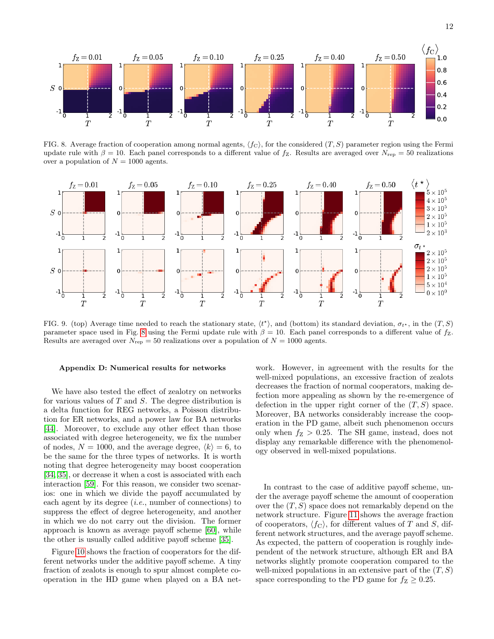

<span id="page-11-0"></span>FIG. 8. Average fraction of cooperation among normal agents,  $\langle f_C \rangle$ , for the considered  $(T, S)$  parameter region using the Fermi update rule with  $\beta = 10$ . Each panel corresponds to a different value of  $f_Z$ . Results are averaged over  $N_{\text{rep}} = 50$  realizations over a population of  $N = 1000$  agents.



<span id="page-11-1"></span>FIG. 9. (top) Average time needed to reach the stationary state,  $\langle t^* \rangle$ , and (bottom) its standard deviation,  $\sigma_{t^*}$ , in the  $(T, S)$ parameter space used in Fig. [8](#page-11-0) using the Fermi update rule with  $\beta = 10$ . Each panel corresponds to a different value of fz. Results are averaged over  $N_{\text{rep}} = 50$  realizations over a population of  $N = 1000$  agents.

#### <span id="page-11-2"></span>Appendix D: Numerical results for networks

We have also tested the effect of zealotry on networks for various values of  $T$  and  $S$ . The degree distribution is a delta function for REG networks, a Poisson distribution for ER networks, and a power law for BA networks [\[44\]](#page-14-0). Moreover, to exclude any other effect than those associated with degree heterogeneity, we fix the number of nodes,  $N = 1000$ , and the average degree,  $\langle k \rangle = 6$ , to be the same for the three types of networks. It is worth noting that degree heterogeneity may boost cooperation [\[34,](#page-13-34) [35\]](#page-13-27), or decrease it when a cost is associated with each interaction [\[59\]](#page-14-15). For this reason, we consider two scenarios: one in which we divide the payoff accumulated by each agent by its degree  $(i.e.,$  number of connections) to suppress the effect of degree heterogeneity, and another in which we do not carry out the division. The former approach is known as average payoff scheme [\[60\]](#page-14-16), while the other is usually called additive payoff scheme [\[35\]](#page-13-27).

Figure [10](#page-12-0) shows the fraction of cooperators for the different networks under the additive payoff scheme. A tiny fraction of zealots is enough to spur almost complete cooperation in the HD game when played on a BA net-

work. However, in agreement with the results for the well-mixed populations, an excessive fraction of zealots decreases the fraction of normal cooperators, making defection more appealing as shown by the re-emergence of defection in the upper right corner of the  $(T, S)$  space. Moreover, BA networks considerably increase the cooperation in the PD game, albeit such phenomenon occurs only when  $f_Z > 0.25$ . The SH game, instead, does not display any remarkable difference with the phenomenology observed in well-mixed populations.

In contrast to the case of additive payoff scheme, under the average payoff scheme the amount of cooperation over the  $(T, S)$  space does not remarkably depend on the network structure. Figure [11](#page-12-1) shows the average fraction of cooperators,  $\langle f_C \rangle$ , for different values of T and S, different network structures, and the average payoff scheme. As expected, the pattern of cooperation is roughly independent of the network structure, although ER and BA networks slightly promote cooperation compared to the well-mixed populations in an extensive part of the  $(T, S)$ space corresponding to the PD game for  $f_Z \geq 0.25$ .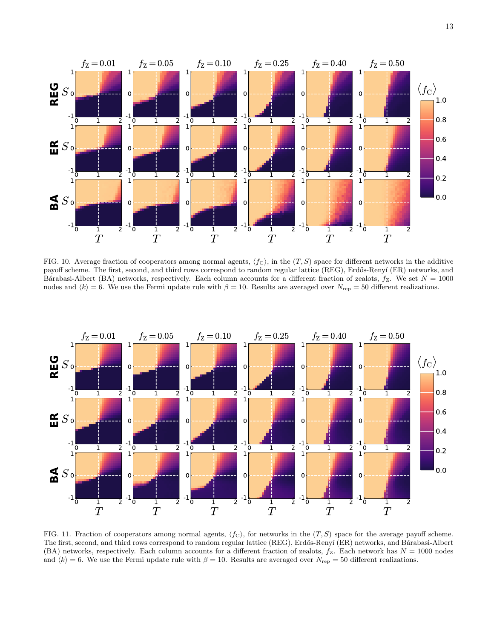

<span id="page-12-0"></span>FIG. 10. Average fraction of cooperators among normal agents,  $\langle f_C \rangle$ , in the  $(T, S)$  space for different networks in the additive payoff scheme. The first, second, and third rows correspond to random regular lattice (REG), Erdős-Renyí (ER) networks, and Bárabasi-Albert (BA) networks, respectively. Each column accounts for a different fraction of zealots,  $f_Z$ . We set  $N = 1000$ nodes and  $\langle k \rangle = 6$ . We use the Fermi update rule with  $\beta = 10$ . Results are averaged over  $N_{\rm rep} = 50$  different realizations.



<span id="page-12-1"></span>FIG. 11. Fraction of cooperators among normal agents,  $\langle f_C \rangle$ , for networks in the  $(T, S)$  space for the average payoff scheme. The first, second, and third rows correspond to random regular lattice (REG), Erdős-Renyí (ER) networks, and Bárabasi-Albert (BA) networks, respectively. Each column accounts for a different fraction of zealots,  $f_Z$ . Each network has  $N = 1000$  nodes and  $\langle k \rangle = 6$ . We use the Fermi update rule with  $\beta = 10$ . Results are averaged over N<sub>rep</sub> = 50 different realizations.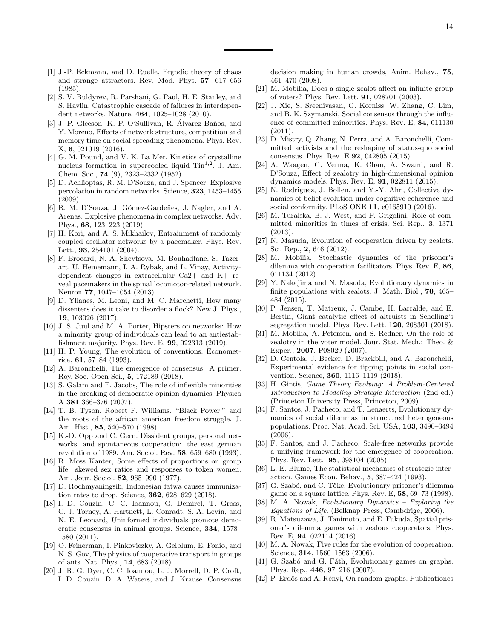- <span id="page-13-0"></span>[1] J.-P. Eckmann, and D. Ruelle, Ergodic theory of chaos and strange attractors. Rev. Mod. Phys. 57, 617–656 (1985).
- [2] S. V. Buldyrev, R. Parshani, G. Paul, H. E. Stanley, and S. Havlin, Catastrophic cascade of failures in interdependent networks. Nature, 464, 1025–1028 (2010).
- [3] J. P. Gleeson, K. P. O'Sullivan, R. Álvarez Baños, and Y. Moreno, Effects of network structure, competition and memory time on social spreading phenomena. Phys. Rev. X, 6, 021019 (2016).
- [4] G. M. Pound, and V. K. La Mer. Kinetics of crystalline nucleus formation in supercooled liquid  $\text{Tim}^{1,2}$ . J. Am. Chem. Soc., 74 (9), 2323–2332 (1952).
- [5] D. Achlioptas, R. M. D'Souza, and J. Spencer. Explosive percolation in random networks. Science, 323, 1453–1455 (2009).
- <span id="page-13-1"></span>[6] R. M. D'Souza, J. Gómez-Gardeñes, J. Nagler, and A. Arenas. Explosive phenomena in complex networks. Adv. Phys., 68, 123–223 (2019).
- <span id="page-13-2"></span>[7] H. Kori, and A. S. Mikhailov, Entrainment of randomly coupled oscillator networks by a pacemaker. Phys. Rev. Lett., 93, 254101 (2004).
- <span id="page-13-3"></span>[8] F. Brocard, N. A. Shevtsova, M. Bouhadfane, S. Tazerart, U. Heinemann, I. A. Rybak, and L. Vinay, Activitydependent changes in extracellular Ca2+ and K+ reveal pacemakers in the spinal locomotor-related network. Neuron 77, 1047–1054 (2013).
- <span id="page-13-4"></span>[9] D. Yllanes, M. Leoni, and M. C. Marchetti, How many dissenters does it take to disorder a flock? New J. Phys., 19, 103026 (2017).
- <span id="page-13-5"></span>[10] J. S. Juul and M. A. Porter, Hipsters on networks: How a minority group of individuals can lead to an antiestablishment majority. Phys. Rev. E, 99, 022313 (2019).
- <span id="page-13-6"></span>[11] H. P. Young, The evolution of conventions. Econometrica, 61, 57–84 (1993).
- <span id="page-13-7"></span>[12] A. Baronchelli, The emergence of consensus: A primer. Roy. Soc. Open Sci., 5, 172189 (2018).
- <span id="page-13-8"></span>[13] S. Galam and F. Jacobs, The role of inflexible minorities in the breaking of democratic opinion dynamics. Physica A 381 366–376 (2007).
- <span id="page-13-9"></span>[14] T. B. Tyson, Robert F. Williams, "Black Power," and the roots of the african american freedom struggle. J. Am. Hist., 85, 540–570 (1998).
- <span id="page-13-10"></span>[15] K.-D. Opp and C. Gern. Dissident groups, personal networks, and spontaneous cooperation: the east german revolution of 1989. Am. Sociol. Rev. 58, 659–680 (1993).
- <span id="page-13-11"></span>[16] R. Moss Kanter, Some effects of proportions on group life: skewed sex ratios and responses to token women. Am. Jour. Sociol. 82, 965–990 (1977).
- <span id="page-13-12"></span>[17] D. Rochmyaningsih, Indonesian fatwa causes immunization rates to drop. Science, 362, 628–629 (2018).
- <span id="page-13-13"></span>[18] I. D. Couzin, C. C. Ioannou, G. Demirel, T. Gross, C. J. Torney, A. Hartnett, L. Conradt, S. A. Levin, and N. E. Leonard, Uninformed individuals promote democratic consensus in animal groups. Science, 334, 1578– 1580 (2011).
- <span id="page-13-36"></span>[19] O. Feinerman, I. Pinkoviezky, A. Gelblum, E. Fonio, and N. S. Gov, The physics of cooperative transport in groups of ants. Nat. Phys., 14, 683 (2018).
- <span id="page-13-14"></span>[20] J. R. G. Dyer, C. C. Ioannou, L. J. Morrell, D. P. Croft, I. D. Couzin, D. A. Waters, and J. Krause. Consensus

decision making in human crowds, Anim. Behav., 75, 461–470 (2008).

- <span id="page-13-15"></span>[21] M. Mobilia, Does a single zealot affect an infinite group of voters? Phys. Rev. Lett. 91, 028701 (2003).
- <span id="page-13-16"></span>[22] J. Xie, S. Sreenivasan, G. Korniss, W. Zhang, C. Lim, and B. K. Szymanski, Social consensus through the influence of committed minorities. Phys. Rev. E, 84, 011130 (2011).
- [23] D. Mistry, Q. Zhang, N. Perra, and A. Baronchelli, Committed activists and the reshaping of status-quo social consensus. Phys. Rev. E 92, 042805 (2015).
- <span id="page-13-17"></span>[24] A. Waagen, G. Verma, K. Chan, A. Swami, and R. D'Souza, Effect of zealotry in high-dimensional opinion dynamics models. Phys. Rev. E, 91, 022811 (2015).
- <span id="page-13-18"></span>[25] N. Rodriguez, J. Bollen, and Y.-Y. Ahn, Collective dynamics of belief evolution under cognitive coherence and social conformity. PLoS ONE 11, e0165910 (2016).
- <span id="page-13-19"></span>[26] M. Turalska, B. J. West, and P. Grigolini, Role of committed minorities in times of crisis. Sci. Rep., 3, 1371 (2013).
- <span id="page-13-20"></span>[27] N. Masuda, Evolution of cooperation driven by zealots. Sci. Rep., 2, 646 (2012).
- <span id="page-13-25"></span>[28] M. Mobilia, Stochastic dynamics of the prisoner's dilemma with cooperation facilitators. Phys. Rev. E, 86, 011134 (2012).
- <span id="page-13-21"></span>[29] Y. Nakajima and N. Masuda, Evolutionary dynamics in finite populations with zealots. J. Math. Biol., 70, 465– 484 (2015).
- <span id="page-13-22"></span>[30] P. Jensen, T. Matreux, J. Cambe, H. Larralde, and E. Bertin, Giant catalytic effect of altruists in Schelling's segregation model. Phys. Rev. Lett. 120, 208301 (2018).
- <span id="page-13-23"></span>[31] M. Mobilia, A. Petersen, and S. Redner, On the role of zealotry in the voter model. Jour. Stat. Mech.: Theo. & Exper., 2007, P08029 (2007).
- <span id="page-13-24"></span>[32] D. Centola, J. Becker, D. Brackbill, and A. Baronchelli, Experimental evidence for tipping points in social convention. Science, 360, 1116–1119 (2018).
- <span id="page-13-26"></span>[33] H. Gintis, Game Theory Evolving: A Problem-Centered Introduction to Modeling Strategic Interaction (2nd ed.) (Princeton University Press, Princeton, 2009).
- <span id="page-13-34"></span>[34] F. Santos, J. Pacheco, and T. Lenaerts, Evolutionary dynamics of social dilemmas in structured heterogeneous populations. Proc. Nat. Acad. Sci. USA, 103, 3490–3494 (2006).
- <span id="page-13-27"></span>[35] F. Santos, and J. Pacheco, Scale-free networks provide a unifying framework for the emergence of cooperation. Phys. Rev. Lett., 95, 098104 (2005).
- <span id="page-13-28"></span>[36] L. E. Blume, The statistical mechanics of strategic interaction. Games Econ. Behav., 5, 387–424 (1993).
- <span id="page-13-29"></span>[37] G. Szabó, and C. Tőke, Evolutionary prisoner's dilemma game on a square lattice. Phys. Rev. E, 58, 69–73 (1998).
- <span id="page-13-30"></span>[38] M. A. Nowak, Evolutionary Dynamics – Exploring the Equations of Life. (Belknap Press, Cambdrige, 2006).
- <span id="page-13-31"></span>[39] R. Matsuzawa, J. Tanimoto, and E. Fukuda, Spatial prisoner's dilemma games with zealous cooperators. Phys. Rev. E, 94, 022114 (2016).
- <span id="page-13-32"></span>[40] M. A. Nowak, Five rules for the evolution of cooperation. Science, **314**, 1560–1563 (2006).
- <span id="page-13-33"></span>[41] G. Szabó and G. Fáth, Evolutionary games on graphs. Phys. Rep., 446, 97–216 (2007).
- <span id="page-13-35"></span>[42] P. Erdős and A. Rényi, On random graphs. Publicationes